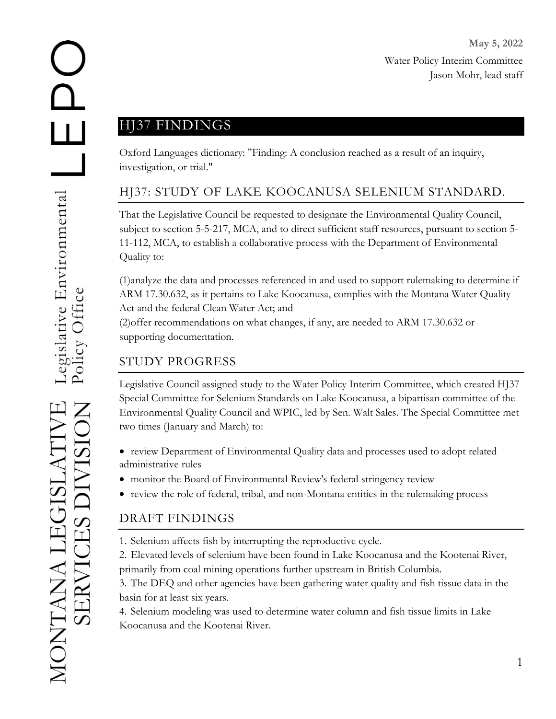## HJ37 FINDINGS

Oxford Languages dictionary: "Finding: A conclusion reached as a result of an inquiry, investigation, or trial."

## HJ37: STUDY OF LAKE KOOCANUSA SELENIUM STANDARD.

That the Legislative Council be requested to designate the Environmental Quality Council, subject to section 5-5-217, MCA, and to direct sufficient staff resources, pursuant to section 5- 11-112, MCA, to establish a collaborative process with the Department of Environmental Quality to:

(1)analyze the data and processes referenced in and used to support rulemaking to determine if ARM 17.30.632, as it pertains to Lake Koocanusa, complies with the Montana Water Quality Act and the federal Clean Water Act; and

(2)offer recommendations on what changes, if any, are needed to ARM 17.30.632 or supporting documentation.

## STUDY PROGRESS

Legislative Council assigned study to the Water Policy Interim Committee, which created HJ37 Special Committee for Selenium Standards on Lake Koocanusa, a bipartisan committee of the Environmental Quality Council and WPIC, led by Sen. Walt Sales. The Special Committee met two times (January and March) to:

- review Department of Environmental Quality data and processes used to adopt related administrative rules
- monitor the Board of Environmental Review's federal stringency review
- review the role of federal, tribal, and non-Montana entities in the rulemaking process

## DRAFT FINDINGS

- 1. Selenium affects fish by interrupting the reproductive cycle.
- 2. Elevated levels of selenium have been found in Lake Koocanusa and the Kootenai River, primarily from coal mining operations further upstream in British Columbia.

3. The DEQ and other agencies have been gathering water quality and fish tissue data in the basin for at least six years.

4. Selenium modeling was used to determine water column and fish tissue limits in Lake Koocanusa and the Kootenai River.